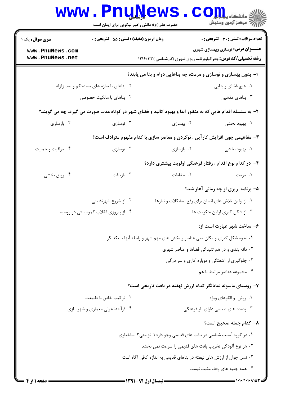|                                    | <b>www.PnuNews</b><br>حضرت علی(ع): دانش راهبر نیکویی برای ایمان است |                                                                                                          | د<br>د انشکاه پ <b>یاه لو</b> ر<br>أآآآآ مركز آزمون وسنجش                                                           |
|------------------------------------|---------------------------------------------------------------------|----------------------------------------------------------------------------------------------------------|---------------------------------------------------------------------------------------------------------------------|
| <b>سری سوال :</b> یک ۱             | زمان آزمون (دقیقه) : تستی : 55 آتشریحی : 0                          |                                                                                                          | <b>تعداد سوالات : تستی : 30 ٪ تشریحی : 0</b>                                                                        |
| www.PnuNews.com<br>www.PnuNews.net |                                                                     |                                                                                                          | <b>عنـــوان درس:</b> نوسازي وبهسازي شهري<br><b>رشته تحصیلی/کد درس:</b> جغرافیاوبرنامه ریزی شهری (کارشناسی ) ۱۲۱۶۰۳۳ |
|                                    |                                                                     | ۱- بدون بهسازی و نوسازی و مرمت، چه بناهایی دوام و بقا می یابند؟                                          |                                                                                                                     |
|                                    | ۰۲ بناهای با سازه های مستحکم و ضد زلزله                             |                                                                                                          | ۰۱ هیچ فضای و بنایی                                                                                                 |
|                                    | ۰۴ بناهای با مالکیت خصوصی                                           |                                                                                                          | ۰۳ بناهای مذهبی                                                                                                     |
|                                    |                                                                     | ۲- به سلسله اقدام هایی که به منظور ابقا و بهبود کالبد و فضای شهر در کوتاه مدت صورت می گیرد، چه می گویند؟ |                                                                                                                     |
| ۰۴ بازسازی                         | ۰۳ نوسازی                                                           | ۰۲ بهسازی                                                                                                | ۰۱ بهبود بخشی                                                                                                       |
|                                    |                                                                     | ۳- مفاهیمی چون افزایش کارآیی ، نوکردن و معاصر سازی با کدام مفهوم مترادف است؟                             |                                                                                                                     |
| ۰۴ مراقبت و حمايت                  | ۰۳ نوسازی                                                           | ۰۲ بازسازی                                                                                               | ۰۱ بهبود بخشی                                                                                                       |
|                                    |                                                                     | ۴– در کدام نوع اقدام ، رفتار فرهنگی اولویت بیشتری دارد؟                                                  |                                                                                                                     |
| ۰۴ رونق بخشی                       | ۰۳ بازیافت                                                          | ٢. حفاظت                                                                                                 | ۰۱ مرمت                                                                                                             |
|                                    |                                                                     |                                                                                                          | ۵– برنامه ریزی از چه زمانی آغاز شد؟                                                                                 |
|                                    | ۰۲ از شروع شهرنشینی                                                 |                                                                                                          | ٠١ از اولين تلاش هاى انسان براى رفع مشكلات و نيازها                                                                 |
|                                    | ۰۴ از پیروزی انقلاب کمونیستی در روسیه                               |                                                                                                          | ۰۳ از شکل گیری اولین حکومت ها                                                                                       |
|                                    |                                                                     |                                                                                                          | ۶- ساخت شهر عبارت است از:                                                                                           |
|                                    |                                                                     | ۰۱ نحوه شکل گیری و مکان یابی عناصر و بخش های مهم شهر و رابطه آنها با یکدیگر                              |                                                                                                                     |
|                                    |                                                                     |                                                                                                          | ۰۲ دانه بندی و در هم تنیدگی فضاها و عناصر شهری                                                                      |
|                                    |                                                                     |                                                                                                          | ۰۳ جلوگیری از آشفتگی و دوباره کاری و سر درگی                                                                        |
|                                    |                                                                     |                                                                                                          | ۰۴ مجموعه عناصر مرتبط با هم                                                                                         |
|                                    |                                                                     | ۷- روستای ماسوله نمایانگر کدام ارزش نهفته در بافت تاریخی است؟                                            |                                                                                                                     |
|                                    | ۰۲ ترکیب خاص با طبیعت                                               |                                                                                                          | ۰۱ روش و الگوهای ویژه                                                                                               |
|                                    | ۰۴ فرأیندتحولی معماری و شهرسازی                                     |                                                                                                          | ۰۳ پدیده های طبیعی دارای بار فرهنگی                                                                                 |
|                                    |                                                                     |                                                                                                          | ٨- كدام جمله صحيح است؟                                                                                              |
|                                    |                                                                     | ۰۱ دو گروه آسیب شناسی در بافت های قدیمی وجو دارد۱-تزیینی۲-ساختاری                                        |                                                                                                                     |
|                                    |                                                                     | ۰۲ هر نوع آلودگی تخریب بافت های قدیمی را سرعت نمی بخشد                                                   |                                                                                                                     |
|                                    |                                                                     | ۰۳ نسل جوان از ارزش های نهفته در بناهای قدیمی به اندازه کافی آگاه است                                    |                                                                                                                     |
|                                    |                                                                     |                                                                                                          | ۰۴ همه جنبه های وقف مثبت نیست                                                                                       |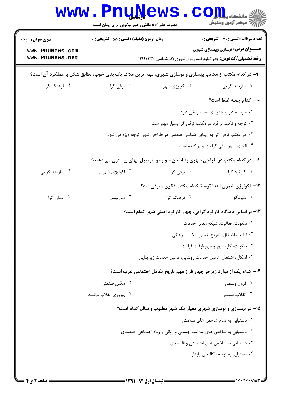| <b>سری سوال :</b> ۱ یک | <b>زمان آزمون (دقیقه) : تستی : 55 تشریحی : 0</b>                                                      |                                                                               | تعداد سوالات : تستي : 30 ٪ تشريحي : 0        |
|------------------------|-------------------------------------------------------------------------------------------------------|-------------------------------------------------------------------------------|----------------------------------------------|
| www.PnuNews.com        |                                                                                                       |                                                                               | <b>عنـــوان درس:</b> نوسازی وبهسازی شهری     |
| www.PnuNews.net        |                                                                                                       | <b>رشته تحصیلی/کد درس:</b> جغرافیاوبرنامه ریزی شهری (کارشناسی )۱۲۱۶۰۳۳        |                                              |
|                        | ۹- در کدام مکتب از مکاتب بهسازی و نوسازی شهری، مهم ترین ملاک یک بنای خوب، تطابق شکل با عملکرد آن است؟ |                                                                               |                                              |
| ۰۴ فرهنگ گرا           | ۰۳ ترقی گرا                                                                                           | ۰۲ اکولوژی شهر                                                                | ۰۱ سازمند گرایی                              |
|                        |                                                                                                       |                                                                               | ١٠- كدام جمله غلط است؟                       |
|                        |                                                                                                       |                                                                               | ٠١ سرمايه داري چهره ي ضد تاريخي دارد         |
|                        |                                                                                                       | ۰۲ توجه و تاکید بر فرد در مکتب ترقی گرا بسیار مهم است                         |                                              |
|                        |                                                                                                       | ۰۳ در مکتب ترقی گرا به زیبایی شناسی هندسی در طراحی شهر توجه ویژه می شود       |                                              |
|                        |                                                                                                       |                                                                               | ۰۴ الگوی شهر ترقی گرا باز و پراکنده است      |
|                        |                                                                                                       | 1۱– در کدام مکتب در طراحی شهری به انسان سواره و اتومبیل ًبهای بیشتری می دهند؟ |                                              |
| ۰۴ سازمند گرایی        | ۰۳ اکولوژی شهری                                                                                       | ۰۲ ترقی گرا                                                                   | ۰۱ کارکرد گرا                                |
|                        |                                                                                                       | ۱۲– اکولوژی شهری ابتدا توسط کدام مکتب فکری معرفی شد؟                          |                                              |
| ۰۴ انسان گرا           | ۰۳ مدرنیسم                                                                                            | ۰۲ فرهنگ گرا                                                                  | ۰۱ شیکاگو                                    |
|                        |                                                                                                       | ۱۳- بر اساس دیدگاه کارکرد گرایی، چهار کارکرد اصلی شهر کدام است؟               |                                              |
|                        |                                                                                                       |                                                                               | ٠١ سكونت، فعاليت، شبكه معابر، خدمات          |
|                        |                                                                                                       |                                                                               | ٠٢ اقامت، اشتغال، تفريح، تامين امكانات زندگي |
|                        |                                                                                                       |                                                                               | ۰۳ سکونت، کار، عبور و مرور،اوقات فراغت       |
|                        |                                                                                                       | ۰۴ اسکان، اشتغال، تامین خدمات روبنایی، تامین خدمات زیر بنایی                  |                                              |
|                        |                                                                                                       | ۱۴– کدام یک از موارد زیرجز چهار فراز مهم تاریخ تکامل اجتماعی غرب است؟         |                                              |
|                        | ۰۲ ماقبل صنعتی                                                                                        |                                                                               | ۰۱ قرون وسطى                                 |
|                        | ۰۴ پیروزی انقلاب فرانسه                                                                               |                                                                               | ۰۳ انقلاب صنعتي                              |
|                        |                                                                                                       | ۱۵- در بهسازی و نوسازی شهری معیار یک شهر مطلوب و سالم کدام است؟               |                                              |
|                        |                                                                                                       |                                                                               | ۰۱ دستیابی به تمام شاخص های سلامتی           |
|                        |                                                                                                       | ۰۲ دستیابی به شاخص های سلامت جسمی و روانی و رفاه اجتماعی-اقتصادی              |                                              |
|                        |                                                                                                       |                                                                               | ۰۳ دستیابی به شاخص های اجتماعی و اقتصادی     |
|                        |                                                                                                       |                                                                               | ۰۴ دستیابی به توسعه کالبدی پایدار            |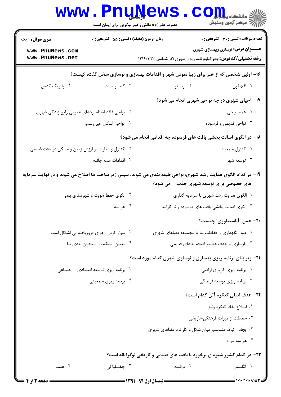|                                                    | <b>www.PnuNews</b>                         | حضرت علی(ع): دانش راهبر نیکویی برای ایمان است | ر آمرڪز آزمون وسنڊش                                                                                                                                   |
|----------------------------------------------------|--------------------------------------------|-----------------------------------------------|-------------------------------------------------------------------------------------------------------------------------------------------------------|
| <b>سری سوال :</b> ۱ یک                             | زمان آزمون (دقیقه) : تستی : 55 آتشریحی : 0 |                                               | <b>تعداد سوالات : تستی : 30 ٪ تشریحی : 0</b>                                                                                                          |
| www.PnuNews.com<br>www.PnuNews.net                 |                                            |                                               | <b>عنـــوان درس:</b> نوسازی وبهسازی شهری<br><b>رشته تحصیلی/کد درس:</b> جغرافیاوبرنامه ریزی شهری (کارشناسی ) ۱۲۱۶۰۳۳                                   |
|                                                    |                                            |                                               | ۱۶– اولین شخصی که از هنر برای زیبا نمودن شهر و اقدامات بهسازی و نوسازی سخن گفت، کیست؟                                                                 |
| ۰۴ پاتریک گدس                                      | ۰۳ کامیلو سیت                              | ۰۲ ارسطو                                      | ٠١. افلاطون                                                                                                                                           |
|                                                    |                                            |                                               | ۱۷- احیای شهری در چه نواحی شهری انجام می شود؟                                                                                                         |
| ۰۲ نواحی فاقد استانداردهای عمومی رایج زندگی شهری   |                                            |                                               | ۰۱ همه نواحی                                                                                                                                          |
|                                                    | ۰۴ نواحی اسکان غیر رسمی                    |                                               | ۰۳ نواحی قدیمی و فرسوده                                                                                                                               |
|                                                    |                                            |                                               | ۱۸– در الگوی اصالت بخشی بافت های فرسوده چه اقدامی انجام می شود؟                                                                                       |
| ۰۲ کنترل و نظارت بر ارزش زمین و مسکن در بافت قدیمی |                                            |                                               | ٠١ كنترل جمعيت                                                                                                                                        |
|                                                    | ۰۴ اقدامات همه جانبه                       |                                               | ۰۳ توسعه شهر                                                                                                                                          |
|                                                    |                                            |                                               | ۱۹- در کدام الگوی هدایت رشد شهری: نواحی طبقه بندی می شوند، سپس زیر ساخت ها اصلاح می شوند و در نهایت سرمایه<br>های خصوصی برای توسعه شهری جذب ۔ می شود؟ |
|                                                    | ۰۲ الگوی حفظ هویت و شهرسازی بومی           |                                               | ۰۱ الگوی هدایت رشد شهری با سرمایه گذاری                                                                                                               |
|                                                    | ۰۴ هر سه                                   |                                               | ۰۳ الگوی اصالت بخشی بافت های فرسوده و نا کارامد                                                                                                       |
|                                                    |                                            |                                               | <b>۲۰</b> عمل "آناستیلوزی" چیست؟                                                                                                                      |
|                                                    | ۰۲ سوار کردن اجزای فروریخته بی اشکال است   |                                               | ۰۱ عمل نگهداری و حفاظت بنا یا مجموعه فضاهای شهری                                                                                                      |
|                                                    | ۰۴ تعيين استقامت استخوان بندى بنا          |                                               | ۰۳ بازسازی با حذف عناصر اضافه بناهای قدیمی                                                                                                            |
|                                                    |                                            |                                               | <b>۲۱</b> - زیر بنای برنامه ریزی بهسازی و نوسازی شهری کدام مورد است؟                                                                                  |
|                                                    | ۰۲ برنامه ریزی توسعه اقتصادی - اجتماعی     |                                               | ٠١. برنامه ريزي كاربري اراضي                                                                                                                          |
|                                                    | ۰۴ برنامه ریزی جمعیتی                      |                                               | ۰۳ برنامه ریزی توسعه فرهنگی                                                                                                                           |
|                                                    |                                            |                                               | <b>۲۲</b> - هدف اصلی کنگره آتن کدام است؟                                                                                                              |
|                                                    |                                            |                                               | ۰۱ اصلاح مفاد کنگره ونيز                                                                                                                              |
|                                                    |                                            |                                               | ۰۲ حفاظت از میراث فرهنگی-تاریخی                                                                                                                       |
|                                                    |                                            |                                               | ۰۳ ایجاد ارتباط متناسب میان شکل و کارکرد فضاهای شهری                                                                                                  |
|                                                    |                                            |                                               | ۰۴ هر سه مورد                                                                                                                                         |
|                                                    |                                            |                                               | <b>۲۳</b> - در کدام کشور شیوه ی برخورد با بافت های قدیمی و تاریخی نوگرایانه است؟                                                                      |
| ۰۴ هلند                                            | ۰۳ چکسلواکی                                | ۰۲ فرانسه                                     | ۰۱ انگستان                                                                                                                                            |